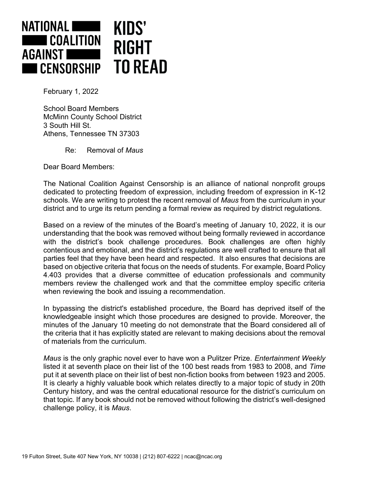

February 1, 2022

School Board Members McMinn County School District 3 South Hill St. Athens, Tennessee TN 37303

Re: Removal of *Maus*

Dear Board Members:

The National Coalition Against Censorship is an alliance of national nonprofit groups dedicated to protecting freedom of expression, including freedom of expression in K-12 schools. We are writing to protest the recent removal of *Maus* from the curriculum in your district and to urge its return pending a formal review as required by district regulations.

Based on a review of the minutes of the Board's meeting of January 10, 2022, it is our understanding that the book was removed without being formally reviewed in accordance with the district's book challenge procedures. Book challenges are often highly contentious and emotional, and the district's regulations are well crafted to ensure that all parties feel that they have been heard and respected. It also ensures that decisions are based on objective criteria that focus on the needs of students. For example, Board Policy 4.403 provides that a diverse committee of education professionals and community members review the challenged work and that the committee employ specific criteria when reviewing the book and issuing a recommendation.

In bypassing the district's established procedure, the Board has deprived itself of the knowledgeable insight which those procedures are designed to provide. Moreover, the minutes of the January 10 meeting do not demonstrate that the Board considered all of the criteria that it has explicitly stated are relevant to making decisions about the removal of materials from the curriculum.

*Maus* is the only graphic novel ever to have won a Pulitzer Prize. *Entertainment Weekly* listed it at seventh place on their list of the 100 best reads from 1983 to 2008, and *Time* put it at seventh place on their list of best non-fiction books from between 1923 and 2005. It is clearly a highly valuable book which relates directly to a major topic of study in 20th Century history, and was the central educational resource for the district's curriculum on that topic. If any book should not be removed without following the district's well-designed challenge policy, it is *Maus*.